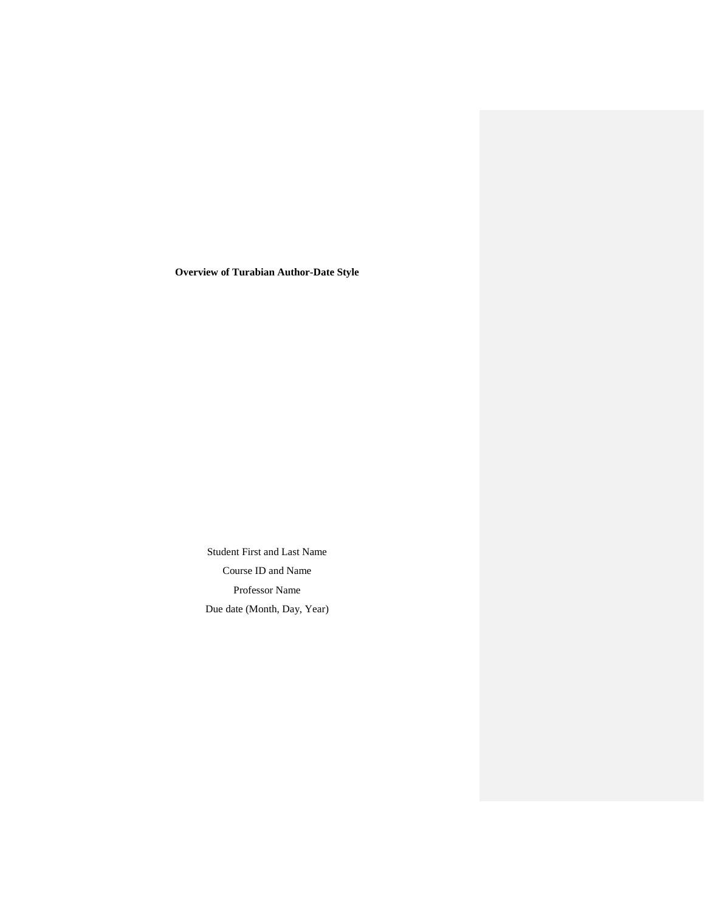**Overview of Turabian Author-Date Style**

Student First and Last Name Course ID and Name Professor Name Due date (Month, Day, Year)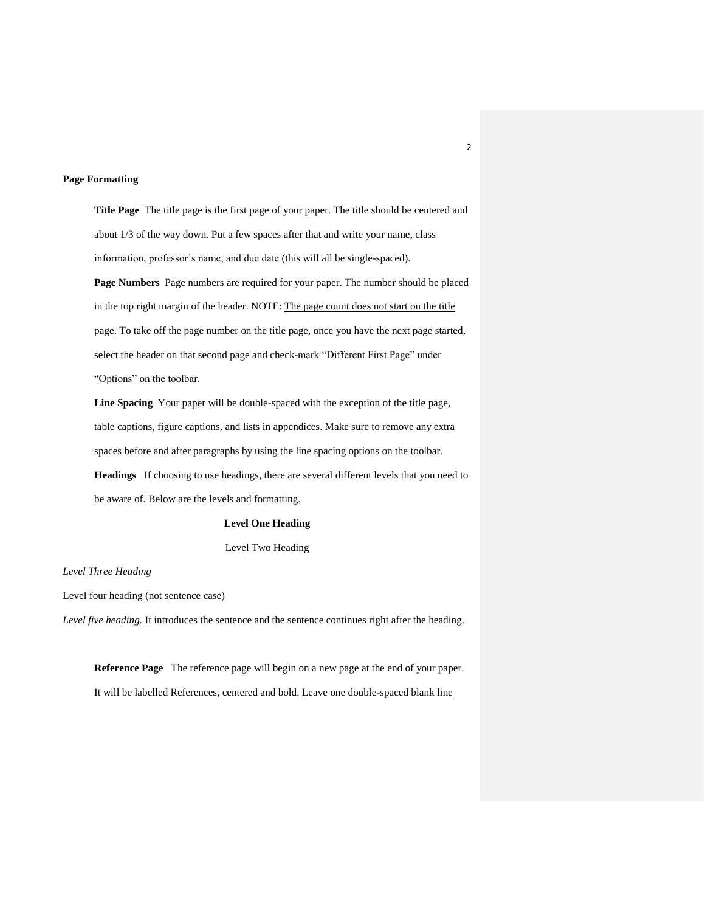### **Page Formatting**

**Title Page** The title page is the first page of your paper. The title should be centered and about 1/3 of the way down. Put a few spaces after that and write your name, class information, professor's name, and due date (this will all be single-spaced).

**Page Numbers** Page numbers are required for your paper. The number should be placed in the top right margin of the header. NOTE: The page count does not start on the title page. To take off the page number on the title page, once you have the next page started, select the header on that second page and check-mark "Different First Page" under "Options" on the toolbar.

**Line Spacing** Your paper will be double-spaced with the exception of the title page, table captions, figure captions, and lists in appendices. Make sure to remove any extra spaces before and after paragraphs by using the line spacing options on the toolbar. **Headings** If choosing to use headings, there are several different levels that you need to be aware of. Below are the levels and formatting.

### **Level One Heading**

Level Two Heading

#### *Level Three Heading*

Level four heading (not sentence case)

*Level five heading.* It introduces the sentence and the sentence continues right after the heading.

**Reference Page** The reference page will begin on a new page at the end of your paper. It will be labelled References, centered and bold. Leave one double-spaced blank line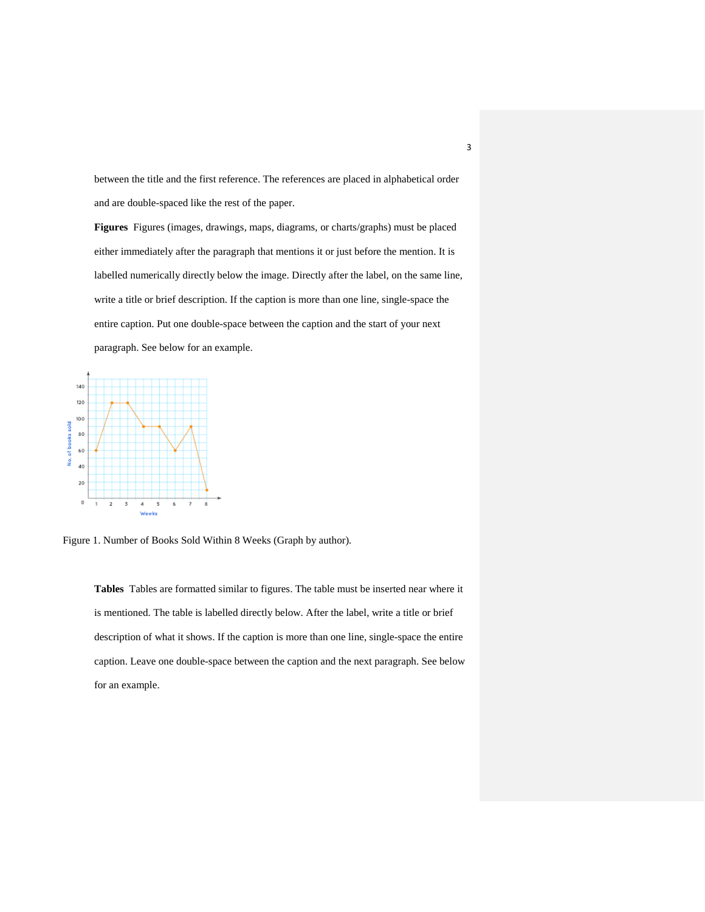between the title and the first reference. The references are placed in alphabetical order and are double-spaced like the rest of the paper.

**Figures** Figures (images, drawings, maps, diagrams, or charts/graphs) must be placed either immediately after the paragraph that mentions it or just before the mention. It is labelled numerically directly below the image. Directly after the label, on the same line, write a title or brief description. If the caption is more than one line, single-space the entire caption. Put one double-space between the caption and the start of your next paragraph. See below for an example.



Figure 1. Number of Books Sold Within 8 Weeks (Graph by author)*.* 

**Tables** Tables are formatted similar to figures. The table must be inserted near where it is mentioned. The table is labelled directly below. After the label, write a title or brief description of what it shows. If the caption is more than one line, single-space the entire caption. Leave one double-space between the caption and the next paragraph. See below for an example.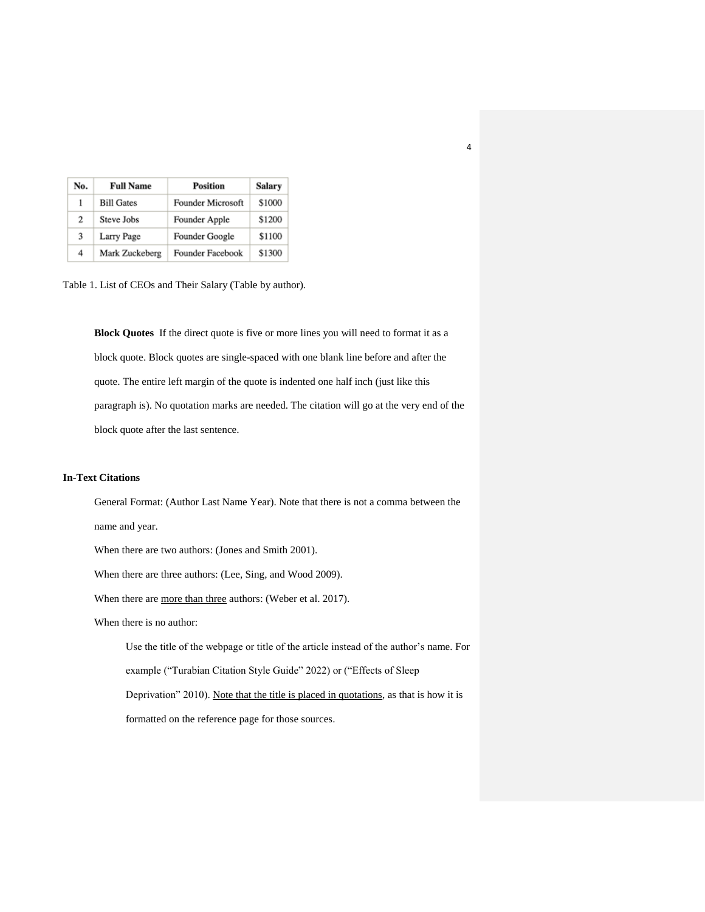| No. | <b>Full Name</b>  | <b>Position</b>   | Salary |
|-----|-------------------|-------------------|--------|
| 1   | <b>Bill Gates</b> | Founder Microsoft | \$1000 |
| 2   | Steve Jobs        | Founder Apple     | \$1200 |
| 3   | Larry Page        | Founder Google    | \$1100 |
| 4   | Mark Zuckeberg    | Founder Facebook  | \$1300 |

Table 1. List of CEOs and Their Salary (Table by author).

**Block Quotes** If the direct quote is five or more lines you will need to format it as a block quote. Block quotes are single-spaced with one blank line before and after the quote. The entire left margin of the quote is indented one half inch (just like this paragraph is). No quotation marks are needed. The citation will go at the very end of the block quote after the last sentence.

4

## **In-Text Citations**

General Format: (Author Last Name Year). Note that there is not a comma between the name and year. When there are two authors: (Jones and Smith 2001). When there are three authors: (Lee, Sing, and Wood 2009). When there are more than three authors: (Weber et al. 2017). When there is no author: Use the title of the webpage or title of the article instead of the author's name. For example ("Turabian Citation Style Guide" 2022) or ("Effects of Sleep Deprivation" 2010). Note that the title is placed in quotations, as that is how it is formatted on the reference page for those sources.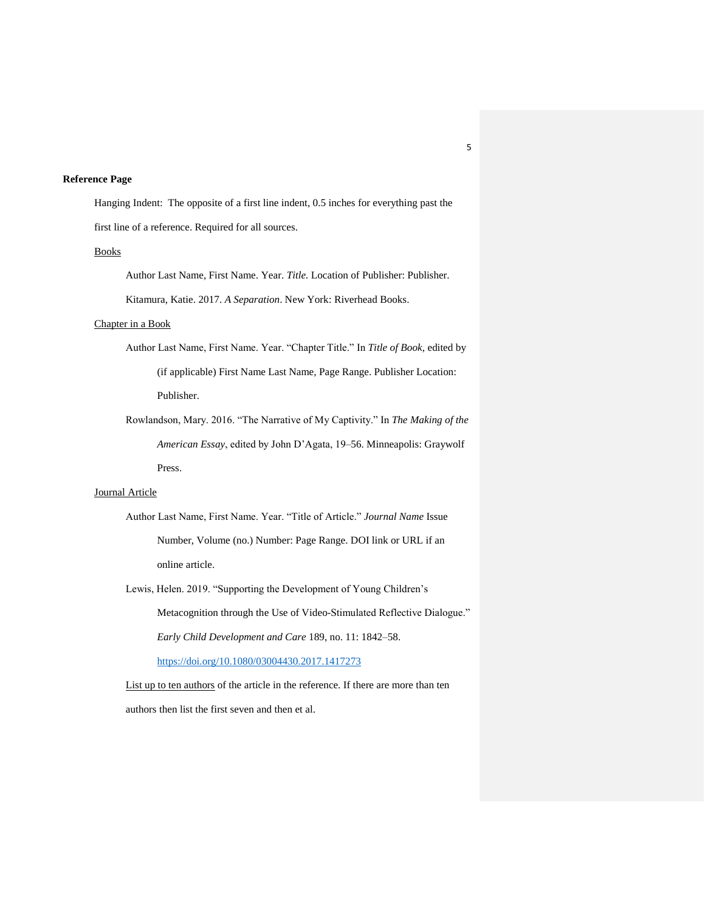## **Reference Page**

Hanging Indent: The opposite of a first line indent, 0.5 inches for everything past the first line of a reference. Required for all sources.

### Books

Author Last Name, First Name. Year. *Title.* Location of Publisher: Publisher. Kitamura, Katie. 2017. *A Separation*. New York: Riverhead Books.

# Chapter in a Book

Author Last Name, First Name. Year. "Chapter Title." In *Title of Book,* edited by (if applicable) First Name Last Name, Page Range. Publisher Location: Publisher.

Rowlandson, Mary. 2016. "The Narrative of My Captivity." In *The Making of the American Essay*, edited by John D'Agata, 19–56. Minneapolis: Graywolf Press.

## Journal Article

Author Last Name, First Name. Year. "Title of Article." *Journal Name* Issue Number, Volume (no.) Number: Page Range. DOI link or URL if an online article.

Lewis, Helen. 2019. "Supporting the Development of Young Children's

Metacognition through the Use of Video-Stimulated Reflective Dialogue." *Early Child Development and Care* 189, no. 11: 1842–58.

<https://doi.org/10.1080/03004430.2017.1417273>

List up to ten authors of the article in the reference. If there are more than ten authors then list the first seven and then et al.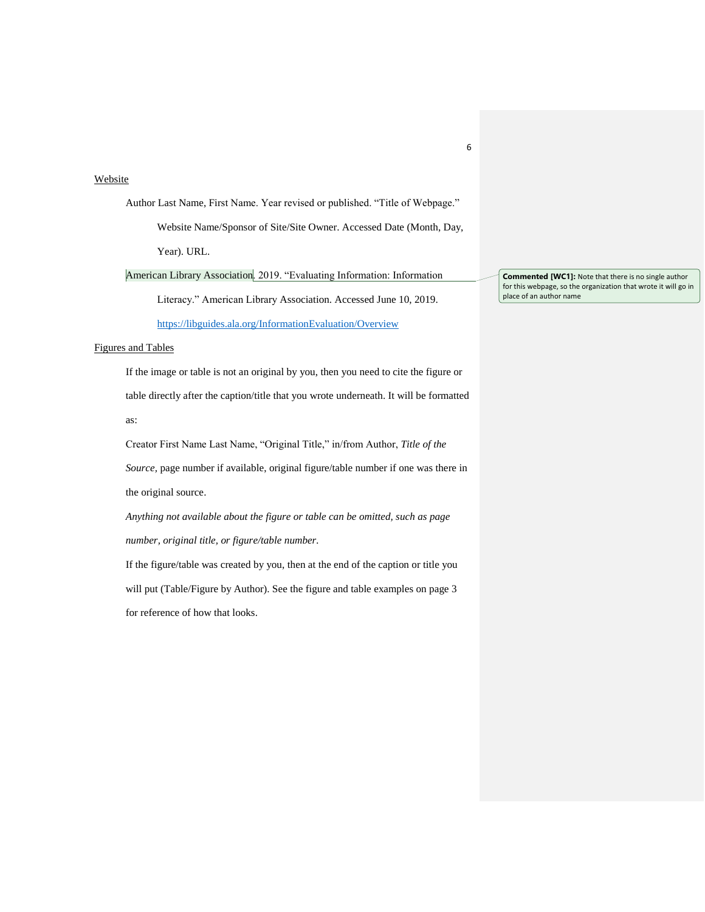## Website

Author Last Name, First Name. Year revised or published. "Title of Webpage." Website Name/Sponsor of Site/Site Owner. Accessed Date (Month, Day, Year). URL.

American Library Association. 2019. "Evaluating Information: Information

Literacy." American Library Association. Accessed June 10, 2019. <https://libguides.ala.org/InformationEvaluation/Overview>

# Figures and Tables

If the image or table is not an original by you, then you need to cite the figure or table directly after the caption/title that you wrote underneath. It will be formatted as:

Creator First Name Last Name, "Original Title," in/from Author, *Title of the Source,* page number if available, original figure/table number if one was there in the original source.

*Anything not available about the figure or table can be omitted, such as page number, original title, or figure/table number.* 

If the figure/table was created by you, then at the end of the caption or title you will put (Table/Figure by Author). See the figure and table examples on page 3 for reference of how that looks.

**Commented [WC1]:** Note that there is no single author for this webpage, so the organization that wrote it will go in place of an author name

6